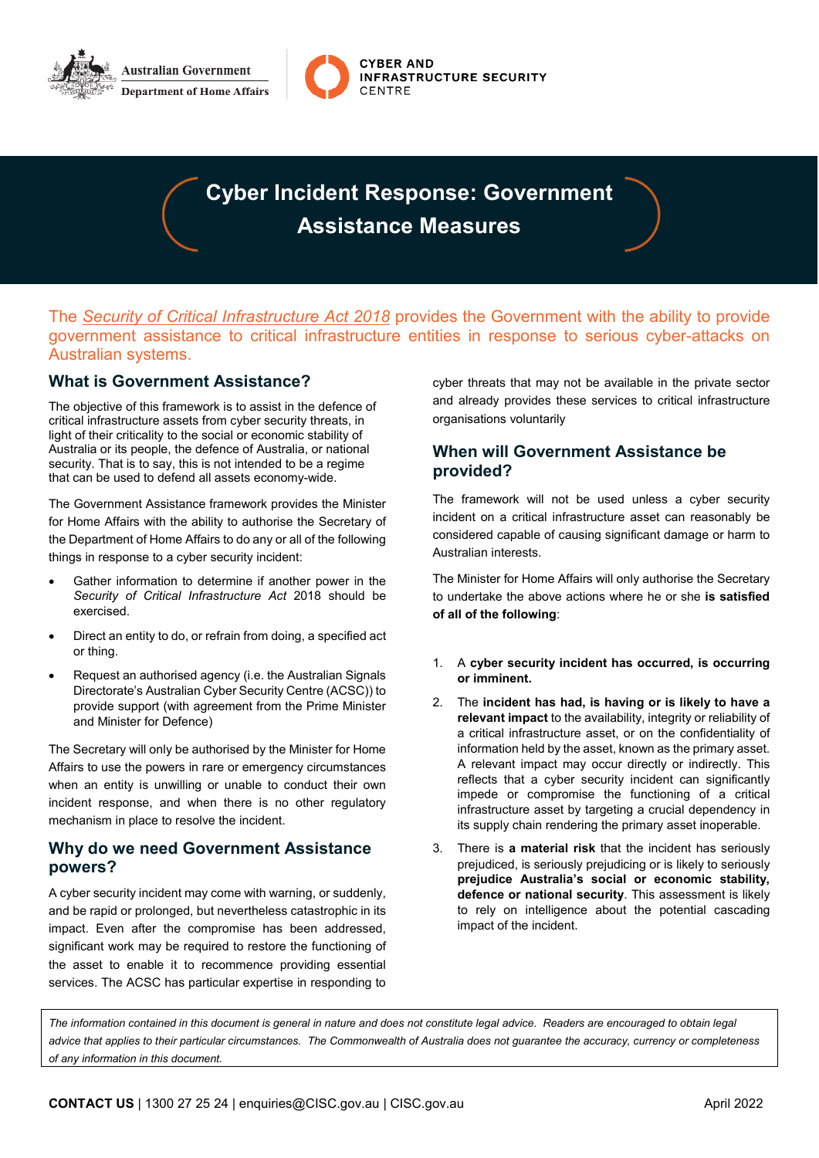



# **Cyber Incident Response: Government Assistance Measures**

The *[Security of Critical Infrastructure Act 2018](https://www.legislation.gov.au/Details/C2018A00029)* provides the Government with the ability to provide government assistance to critical infrastructure entities in response to serious cyber-attacks on Australian systems.

# **What is Government Assistance?**

The objective of this framework is to assist in the defence of critical infrastructure assets from cyber security threats, in light of their criticality to the social or economic stability of Australia or its people, the defence of Australia, or national security. That is to say, this is not intended to be a regime that can be used to defend all assets economy-wide.

The Government Assistance framework provides the Minister for Home Affairs with the ability to authorise the Secretary of the Department of Home Affairs to do any or all of the following things in response to a cyber security incident:

- Gather information to determine if another power in the *Security of Critical Infrastructure Act* 2018 should be exercised.
- Direct an entity to do, or refrain from doing, a specified act or thing.
- Request an authorised agency (i.e. the Australian Signals Directorate's Australian Cyber Security Centre (ACSC)) to provide support (with agreement from the Prime Minister and Minister for Defence)

The Secretary will only be authorised by the Minister for Home Affairs to use the powers in rare or emergency circumstances when an entity is unwilling or unable to conduct their own incident response, and when there is no other regulatory mechanism in place to resolve the incident.

# **Why do we need Government Assistance powers?**

A cyber security incident may come with warning, or suddenly, and be rapid or prolonged, but nevertheless catastrophic in its impact. Even after the compromise has been addressed, significant work may be required to restore the functioning of the asset to enable it to recommence providing essential services. The ACSC has particular expertise in responding to

cyber threats that may not be available in the private sector and already provides these services to critical infrastructure organisations voluntarily

## **When will Government Assistance be provided?**

The framework will not be used unless a cyber security incident on a critical infrastructure asset can reasonably be considered capable of causing significant damage or harm to Australian interests.

The Minister for Home Affairs will only authorise the Secretary to undertake the above actions where he or she **is satisfied of all of the following**:

- 1. A **cyber security incident has occurred, is occurring or imminent.**
- 2. The **incident has had, is having or is likely to have a relevant impact** to the availability, integrity or reliability of a critical infrastructure asset, or on the confidentiality of information held by the asset, known as the primary asset. A relevant impact may occur directly or indirectly. This reflects that a cyber security incident can significantly impede or compromise the functioning of a critical infrastructure asset by targeting a crucial dependency in its supply chain rendering the primary asset inoperable.
- 3. There is **a material risk** that the incident has seriously prejudiced, is seriously prejudicing or is likely to seriously **prejudice Australia's social or economic stability, defence or national security**. This assessment is likely to rely on intelligence about the potential cascading impact of the incident.

*The information contained in this document is general in nature and does not constitute legal advice. Readers are encouraged to obtain legal advice that applies to their particular circumstances. The Commonwealth of Australia does not guarantee the accuracy, currency or completeness of any information in this document.*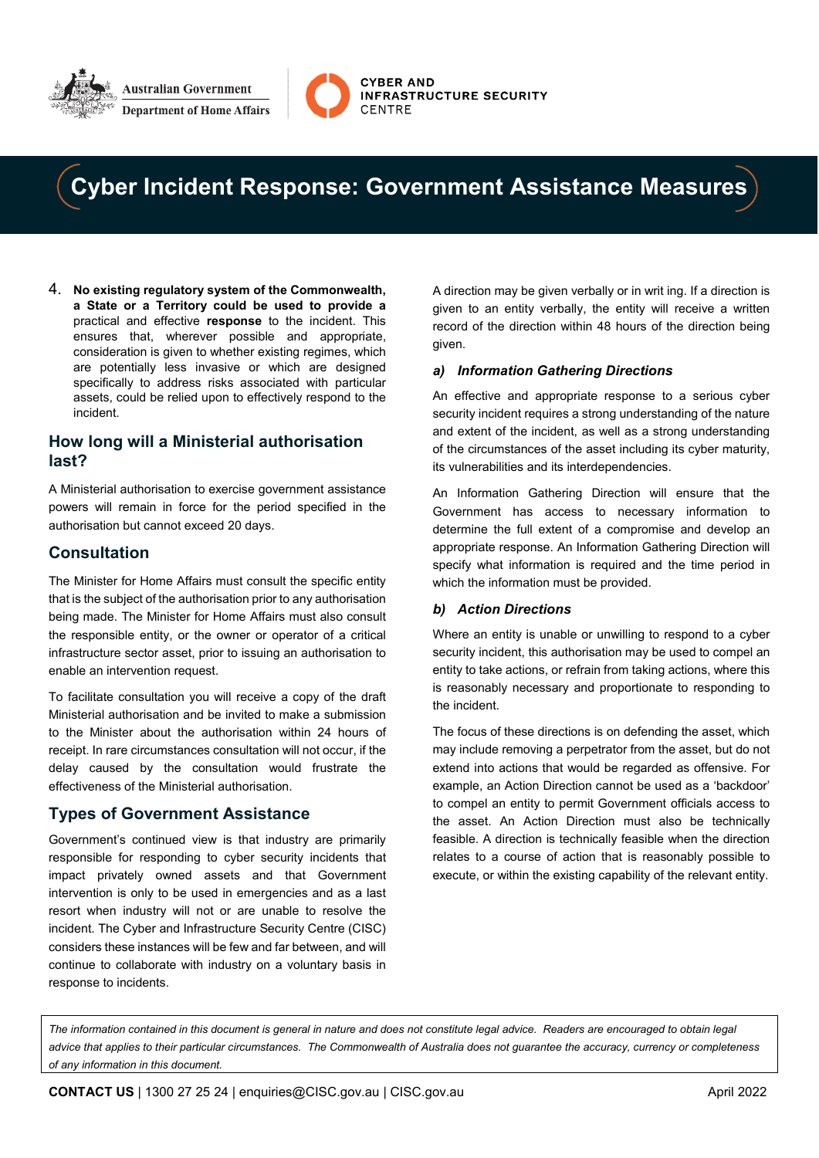



# **Cyber Incident Response: Government Assistance Measures**

4. **No existing regulatory system of the Commonwealth, a State or a Territory could be used to provide a** practical and effective **response** to the incident. This ensures that, wherever possible and appropriate, consideration is given to whether existing regimes, which are potentially less invasive or which are designed specifically to address risks associated with particular assets, could be relied upon to effectively respond to the incident.

### **How long will a Ministerial authorisation last?**

A Ministerial authorisation to exercise government assistance powers will remain in force for the period specified in the authorisation but cannot exceed 20 days.

## **Consultation**

The Minister for Home Affairs must consult the specific entity that is the subject of the authorisation prior to any authorisation being made. The Minister for Home Affairs must also consult the responsible entity, or the owner or operator of a critical infrastructure sector asset, prior to issuing an authorisation to enable an intervention request.

To facilitate consultation you will receive a copy of the draft Ministerial authorisation and be invited to make a submission to the Minister about the authorisation within 24 hours of receipt. In rare circumstances consultation will not occur, if the delay caused by the consultation would frustrate the effectiveness of the Ministerial authorisation.

# **Types of Government Assistance**

Government's continued view is that industry are primarily responsible for responding to cyber security incidents that impact privately owned assets and that Government intervention is only to be used in emergencies and as a last resort when industry will not or are unable to resolve the incident. The Cyber and Infrastructure Security Centre (CISC) considers these instances will be few and far between, and will continue to collaborate with industry on a voluntary basis in response to incidents.

A direction may be given verbally or in writ ing. If a direction is given to an entity verbally, the entity will receive a written record of the direction within 48 hours of the direction being given.

#### *a) Information Gathering Directions*

An effective and appropriate response to a serious cyber security incident requires a strong understanding of the nature and extent of the incident, as well as a strong understanding of the circumstances of the asset including its cyber maturity, its vulnerabilities and its interdependencies.

An Information Gathering Direction will ensure that the Government has access to necessary information to determine the full extent of a compromise and develop an appropriate response. An Information Gathering Direction will specify what information is required and the time period in which the information must be provided.

#### *b) Action Directions*

Where an entity is unable or unwilling to respond to a cyber security incident, this authorisation may be used to compel an entity to take actions, or refrain from taking actions, where this is reasonably necessary and proportionate to responding to the incident.

The focus of these directions is on defending the asset, which may include removing a perpetrator from the asset, but do not extend into actions that would be regarded as offensive. For example, an Action Direction cannot be used as a 'backdoor' to compel an entity to permit Government officials access to the asset. An Action Direction must also be technically feasible. A direction is technically feasible when the direction relates to a course of action that is reasonably possible to execute, or within the existing capability of the relevant entity.

*The information contained in this document is general in nature and does not constitute legal advice. Readers are encouraged to obtain legal advice that applies to their particular circumstances. The Commonwealth of Australia does not guarantee the accuracy, currency or completeness of any information in this document.*